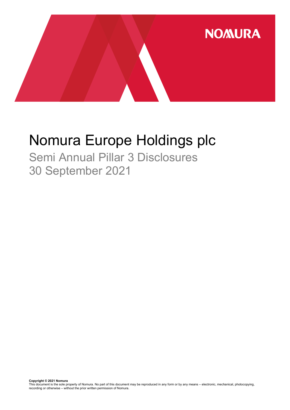

# Nomura Europe Holdings plc

Semi Annual Pillar 3 Disclosures 30 September 2021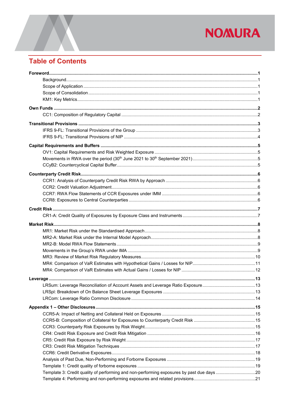## **Table of Contents**

| Template 3: Credit quality of performing and non-performing exposures by past due days 20 |  |
|-------------------------------------------------------------------------------------------|--|
|                                                                                           |  |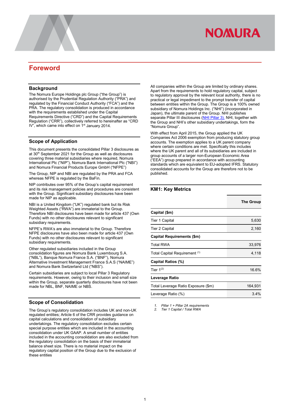## <span id="page-3-0"></span>**Foreword**

#### <span id="page-3-1"></span>**Background**

The Nomura Europe Holdings plc Group ("the Group") is authorised by the Prudential Regulation Authority ("PRA") and regulated by the Financial Conduct Authority ("FCA") and the PRA. The regulatory consolidation is produced in accordance with the requirements established under the Capital Requirements Directive ("CRD") and the Capital Requirements Regulation ("CRR"), collectively referred to hereinafter as "CRD IV", which came into effect on 1<sup>st</sup> January 2014.

#### <span id="page-3-2"></span>**Scope of Application**

This document presents the consolidated Pillar 3 disclosures as at 30<sup>th</sup> September 2021 for the Group as well as disclosures covering three material subsidiaries where required, Nomura International Plc ("NIP"), Nomura Bank International Plc ("NBI") and Nomura Financial Products Europe GmbH ("NFPE")

The Group, NIP and NBI are regulated by the PRA and FCA whereas NFPE is regulated by the BaFin.

NIP contributes over 95% of the Group's capital requirement and its risk management policies and procedures are consistent with the Group. Significant subsidiary disclosures have been made for NIP as applicable.

NBI is a United Kingdom ("UK") regulated bank but its Risk Weighted Assets ("RWA") are immaterial to the Group. Therefore NBI disclosures have been made for article 437 (Own Funds) with no other disclosures relevant to significant subsidiary requirements.

NFPE's RWA's are also immaterial to the Group. Therefore NFPE disclosures have also been made for article 437 (Own Funds) with no other disclosures relevant to significant subsidiary requirements.

Other regulated subsidiaries included in the Group consolidation figures are Nomura Bank Luxembourg S.A. ("NBL"), Banque Nomura France S.A. ("BNF"), Nomura Alternative Investment Management France S.A.S ("NAIME") and Nomura Bank Switzerland Ltd ("NBS").

Certain subsidiaries are subject to local Pillar 3 Regulatory requirements. However, owing to their inclusion and small size within the Group, separate quarterly disclosures have not been made for NBL, BNF, NAIME or NBS.

#### <span id="page-3-3"></span>**Scope of Consolidation**

The Group's regulatory consolidation includes UK and non-UK regulated entities; Article 6 of the CRR provides guidance on capital calculations and consolidation of subsidiary undertakings. The regulatory consolidation excludes certain special purpose entities which are included in the accounting consolidation under UK GAAP. A small number of entities included in the accounting consolidation are also excluded from the regulatory consolidation on the basis of their immaterial balance sheet size. There is no material impact on the regulatory capital position of the Group due to the exclusion of these entities

All companies within the Group are limited by ordinary shares. Apart from the requirements to hold regulatory capital, subject to regulatory approval by the relevant local authority, there is no practical or legal impediment to the prompt transfer of capital between entities within the Group. The Group is a 100% owned subsidiary of Nomura Holdings Inc. ("NHI") (incorporated in Japan), the ultimate parent of the Group. NHI publishes separate Pillar III disclosures [\(NHI Pillar 3\)](https://www.nomuraholdings.com/investor/summary/highlight/ratio.html). NHI, together with the Group and NHI's other subsidiary undertakings, form the "Nomura Group".

With effect from April 2015, the Group applied the UK Companies Act 2006 exemption from producing statutory group accounts. The exemption applies to a UK parent company where certain conditions are met. Specifically this includes where the UK parent and all of its subsidiaries are included in group accounts of a larger non-European Economic Area ("EEA") group prepared in accordance with accounting standards which are equivalent to EU-adopted IFRS. Statutory consolidated accounts for the Group are therefore not to be published.

#### <span id="page-3-4"></span>**KM1: Key Metrics**

|                                     | <b>The Group</b> |
|-------------------------------------|------------------|
| Capital (\$m)                       |                  |
| Tier 1 Capital                      | 5,630            |
| <b>Tier 2 Capital</b>               | 2,160            |
| Capital Requirements (\$m)          |                  |
| <b>Total RWA</b>                    | 33,976           |
| Total Capital Requirement (1)       | 4,118            |
| Capital Ratios (%)                  |                  |
| Tier $1^{(2)}$                      | 16.6%            |
| Leverage Ratio                      |                  |
| Total Leverage Ratio Exposure (\$m) | 164,931          |
| Leverage Ratio (%)                  | $3.4\%$          |

*1. Pillar 1 + Pillar 2A requirements*

*2. Tier 1 Capital / Total RWA*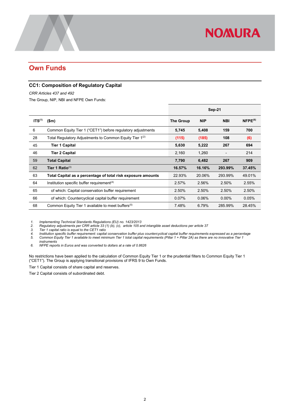## <span id="page-4-0"></span>**Own Funds**

#### <span id="page-4-1"></span>**CC1: Composition of Regulatory Capital**

*CRR Articles 437 and 492* 

The Group, NIP, NBI and NFPE Own Funds:

|                    |                                                                     | <b>Sep-21</b> |            |            |              |
|--------------------|---------------------------------------------------------------------|---------------|------------|------------|--------------|
| ITS <sup>(1)</sup> | \$m\$                                                               | The Group     | <b>NIP</b> | <b>NBI</b> | $NFPE^{(6)}$ |
| 6                  | Common Equity Tier 1 ("CET1") before regulatory adjustments         | 5,745         | 5,408      | 159        | 700          |
| 28                 | Total Regulatory Adjustments to Common Equity Tier 1 <sup>(2)</sup> | (115)         | (185)      | 108        | (6)          |
| 45                 | <b>Tier 1 Capital</b>                                               | 5,630         | 5,222      | 267        | 694          |
| 46                 | <b>Tier 2 Capital</b>                                               | 2,160         | 1.260      |            | 214          |
| 59                 | <b>Total Capital</b>                                                | 7,790         | 6,482      | 267        | 909          |
| 62                 | Tier 1 Ratio $^{(3)}$                                               | 16.57%        | 16.16%     | 293.99%    | 37.45%       |
| 63                 | Total Capital as a percentage of total risk exposure amounts        | 22.93%        | 20.06%     | 293.99%    | 49.01%       |
| 64                 | Institution specific buffer requirement $(4)$                       | 2.57%         | 2.56%      | 2.50%      | 2.55%        |
| 65                 | of which: Capital conservation buffer requirement                   | 2.50%         | 2.50%      | 2.50%      | 2.50%        |
| 66                 | of which: Countercyclical capital buffer requirement                | 0.07%         | 0.06%      | $0.00\%$   | 0.05%        |
| 68                 | Common Equity Tier 1 available to meet buffers <sup>(5)</sup>       | 7.48%         | 6.79%      | 285.99%    | 28.45%       |

*1. Implementing Technical Standards Regulations (EU) no. 1423/2013*

*2. Regulatory adjustments per CRR article 33 (1) (b), (c), article 105 and intangible asset deductions per article 37*

*3. Tier 1 capital ratio is equal to the CET1 ratio 4. Institution specific buffer requirement: capital conservation buffer plus countercyclical capital buffer requirements expressed as a percentage 5. Common Equity Tier 1 available to meet minimum Tier 1 total capital requirements (Pillar 1 + Pillar 2A) as there are no innovative Tier 1 instruments*

*6. NFPE reports in Euros and was converted to dollars at a rate of 0.8626*

No restrictions have been applied to the calculation of Common Equity Tier 1 or the prudential filters to Common Equity Tier 1 ("CET1"). The Group is applying transitional provisions of IFRS 9 to Own Funds.

Tier 1 Capital consists of share capital and reserves.

Tier 2 Capital consists of subordinated debt.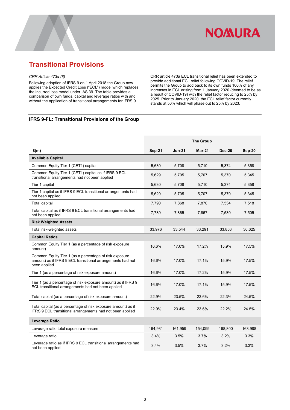

## <span id="page-5-0"></span>**Transitional Provisions**

#### *CRR Article 473a (8)*

Following adoption of IFRS 9 on 1 April 2018 the Group now applies the Expected Credit Loss ("ECL") model which replaces the incurred loss model under IAS 39. The table provides a comparison of own funds, capital and leverage ratios with and without the application of transitional arrangements for IFRS 9.

CRR article 473a ECL transitional relief has been extended to provide additional ECL relief following COVID-19. The relief permits the Group to add back to its own funds 100% of any increases in ECL arising from 1 January 2020 (deemed to be as a result of COVID-19) with the relief factor reducing to 25% by 2025. Prior to January 2020, the ECL relief factor currently stands at 50% which will phase out to 25% by 2023.

#### <span id="page-5-1"></span>**IFRS 9-FL: Transitional Provisions of the Group**

|                                                                                                                                      |               |               | <b>The Group</b> |               |         |
|--------------------------------------------------------------------------------------------------------------------------------------|---------------|---------------|------------------|---------------|---------|
| \$(m)                                                                                                                                | <b>Sep-21</b> | <b>Jun-21</b> | <b>Mar-21</b>    | <b>Dec-20</b> | Sep-20  |
| <b>Available Capital</b>                                                                                                             |               |               |                  |               |         |
| Common Equity Tier 1 (CET1) capital                                                                                                  | 5,630         | 5,708         | 5,710            | 5,374         | 5,358   |
| Common Equity Tier 1 (CET1) capital as if IFRS 9 ECL<br>transitional arrangements had not been applied                               | 5,629         | 5,705         | 5,707            | 5,370         | 5,345   |
| Tier 1 capital                                                                                                                       | 5,630         | 5,708         | 5,710            | 5,374         | 5,358   |
| Tier 1 capital as if IFRS 9 ECL transitional arrangements had<br>not been applied                                                    | 5,629         | 5,705         | 5,707            | 5,370         | 5,345   |
| <b>Total capital</b>                                                                                                                 | 7,790         | 7,868         | 7,870            | 7,534         | 7,518   |
| Total capital as if IFRS 9 ECL transitional arrangements had<br>not been applied                                                     | 7,789         | 7,865         | 7,867            | 7,530         | 7,505   |
| <b>Risk Weighted Assets</b>                                                                                                          |               |               |                  |               |         |
| Total risk-weighted assets                                                                                                           | 33,976        | 33,544        | 33,291           | 33,853        | 30,625  |
| <b>Capital Ratios</b>                                                                                                                |               |               |                  |               |         |
| Common Equity Tier 1 (as a percentage of risk exposure<br>amount)                                                                    | 16.6%         | 17.0%         | 17.2%            | 15.9%         | 17.5%   |
| Common Equity Tier 1 (as a percentage of risk exposure<br>amount) as if IFRS 9 ECL transitional arrangements had not<br>been applied | 16.6%         | 17.0%         | 17.1%            | 15.9%         | 17.5%   |
| Tier 1 (as a percentage of risk exposure amount)                                                                                     | 16.6%         | 17.0%         | 17.2%            | 15.9%         | 17.5%   |
| Tier 1 (as a percentage of risk exposure amount) as if IFRS 9<br>ECL transitional arrangements had not been applied                  | 16.6%         | 17.0%         | 17.1%            | 15.9%         | 17.5%   |
| Total capital (as a percentage of risk exposure amount)                                                                              | 22.9%         | 23.5%         | 23.6%            | 22.3%         | 24.5%   |
| Total capital (as a percentage of risk exposure amount) as if<br>IFRS 9 ECL transitional arrangements had not been applied           | 22.9%         | 23.4%         | 23.6%            | 22.2%         | 24.5%   |
| Leverage Ratio                                                                                                                       |               |               |                  |               |         |
| Leverage ratio total exposure measure                                                                                                | 164,931       | 161,959       | 154,099          | 168,800       | 163,988 |
| Leverage ratio                                                                                                                       | 3.4%          | 3.5%          | 3.7%             | 3.2%          | 3.3%    |
| Leverage ratio as if IFRS 9 ECL transitional arrangements had<br>not been applied                                                    | 3.4%          | 3.5%          | 3.7%             | 3.2%          | 3.3%    |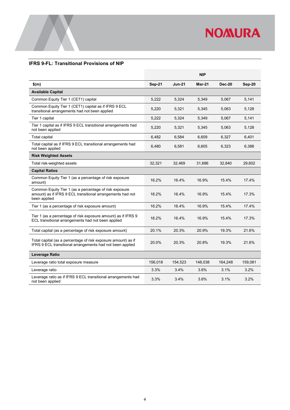

#### <span id="page-6-0"></span>**IFRS 9-FL: Transitional Provisions of NIP**

|                                                                                                                                      |               |          | <b>NIP</b>    |               |         |
|--------------------------------------------------------------------------------------------------------------------------------------|---------------|----------|---------------|---------------|---------|
| $$$ (m)                                                                                                                              | <b>Sep-21</b> | $Jun-21$ | <b>Mar-21</b> | <b>Dec-20</b> | Sep-20  |
| <b>Available Capital</b>                                                                                                             |               |          |               |               |         |
| Common Equity Tier 1 (CET1) capital                                                                                                  | 5,222         | 5,324    | 5,349         | 5.067         | 5,141   |
| Common Equity Tier 1 (CET1) capital as if IFRS 9 ECL<br>transitional arrangements had not been applied                               | 5,220         | 5,321    | 5,345         | 5,063         | 5,128   |
| Tier 1 capital                                                                                                                       | 5,222         | 5,324    | 5,349         | 5,067         | 5,141   |
| Tier 1 capital as if IFRS 9 ECL transitional arrangements had<br>not been applied                                                    | 5,220         | 5,321    | 5,345         | 5,063         | 5,128   |
| <b>Total capital</b>                                                                                                                 | 6,482         | 6,584    | 6.609         | 6.327         | 6,401   |
| Total capital as if IFRS 9 ECL transitional arrangements had<br>not been applied                                                     | 6,480         | 6,581    | 6,605         | 6,323         | 6,388   |
| <b>Risk Weighted Assets</b>                                                                                                          |               |          |               |               |         |
| Total risk-weighted assets                                                                                                           | 32,321        | 32,469   | 31,686        | 32,840        | 29,602  |
| <b>Capital Ratios</b>                                                                                                                |               |          |               |               |         |
| Common Equity Tier 1 (as a percentage of risk exposure<br>amount)                                                                    | 16.2%         | 16.4%    | 16.9%         | 15.4%         | 17.4%   |
| Common Equity Tier 1 (as a percentage of risk exposure<br>amount) as if IFRS 9 ECL transitional arrangements had not<br>been applied | 16.2%         | 16.4%    | 16.9%         | 15.4%         | 17.3%   |
| Tier 1 (as a percentage of risk exposure amount)                                                                                     | 16.2%         | 16.4%    | 16.9%         | 15.4%         | 17.4%   |
| Tier 1 (as a percentage of risk exposure amount) as if IFRS 9<br>ECL transitional arrangements had not been applied                  | 16.2%         | 16.4%    | 16.9%         | 15.4%         | 17.3%   |
| Total capital (as a percentage of risk exposure amount)                                                                              | 20.1%         | 20.3%    | 20.9%         | 19.3%         | 21.6%   |
| Total capital (as a percentage of risk exposure amount) as if<br>IFRS 9 ECL transitional arrangements had not been applied           | 20.0%         | 20.3%    | 20.8%         | 19.3%         | 21.6%   |
| Leverage Ratio                                                                                                                       |               |          |               |               |         |
| Leverage ratio total exposure measure                                                                                                | 156,018       | 154,523  | 148,038       | 164,248       | 159,081 |
| Leverage ratio                                                                                                                       | 3.3%          | 3.4%     | 3.6%          | 3.1%          | 3.2%    |
| Leverage ratio as if IFRS 9 ECL transitional arrangements had<br>not been applied                                                    | 3.3%          | 3.4%     | 3.6%          | 3.1%          | 3.2%    |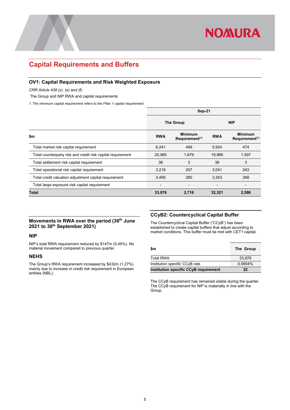

### <span id="page-7-0"></span>**Capital Requirements and Buffers**

#### <span id="page-7-1"></span>**OV1: Capital Requirements and Risk Weighted Exposure**

*CRR Article 438 (c), (e) and (f).*

The Group and NIP RWA and capital requirements

*1. The minimum capital requirement refers to the Pillar 1 capital requirement.*

|                                                             | Sep-21                       |                                              |                          |                                              |  |
|-------------------------------------------------------------|------------------------------|----------------------------------------------|--------------------------|----------------------------------------------|--|
| <b>The Group</b>                                            |                              |                                              | <b>NIP</b>               |                                              |  |
| \$m                                                         | <b>RWA</b>                   | <b>Minimum</b><br>Requirement <sup>(1)</sup> | <b>RWA</b>               | <b>Minimum</b><br>Requirement <sup>(1)</sup> |  |
| Total market risk capital requirement                       | 6,241                        | 499                                          | 5,924                    | 474                                          |  |
| Total counterparty risk and credit risk capital requirement | 20,985                       | 1,679                                        | 19,966                   | 1,597                                        |  |
| Total settlement risk capital requirement                   | 38                           | 3                                            | 38                       | 3                                            |  |
| Total operational risk capital requirement                  | 3,218                        | 257                                          | 3,041                    | 243                                          |  |
| Total credit valuation adjustment capital requirement       | 3,495                        | 280                                          | 3,353                    | 268                                          |  |
| Total large exposure risk capital requirement               | $\qquad \qquad \blacksquare$ | $\overline{\phantom{0}}$                     | $\overline{\phantom{0}}$ |                                              |  |
| Total                                                       | 33,976                       | 2,718                                        | 32,321                   | 2,586                                        |  |

#### <span id="page-7-2"></span>**Movements in RWA over the period (30th June 2021 to 30th September 2021)**

#### **NIP**

NIP's total RWA requirement reduced by \$147m (0.46%). No material movement compared to previous quarter.

#### **NEHS**

The Group's RWA requirement increased by \$432m (1.27%) mainly due to increase in credit risk requirement in European entities (NBL).

#### <span id="page-7-3"></span>**CCyB2: Countercyclical Capital Buffer**

The Countercyclical Capital Buffer ("CCyB") has been established to create capital buffers that adjust according to market conditions. This buffer must be met with CET1 capital.

| \$m                                   | The Group |
|---------------------------------------|-----------|
| <b>Total RWA</b>                      | 33.976    |
| Institution specific CCyB rate        | 0.0654%   |
| Institution specific CCyB requirement | 22        |

The CCyB requirement has remained stable during the quarter. The CCyB requirement for NIP is materially in line with the Group.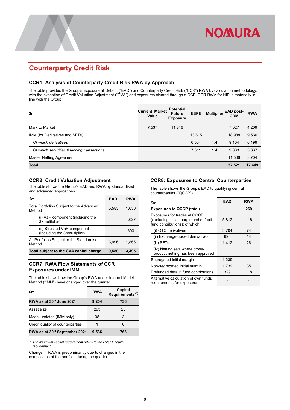## <span id="page-8-0"></span>**Counterparty Credit Risk**

#### <span id="page-8-1"></span>**CCR1: Analysis of Counterparty Credit Risk RWA by Approach**

The table provides the Group's Exposure at Default ("EAD") and Counterparty Credit Risk ("CCR") RWA by calculation methodology, with the exception of Credit Valuation Adjustment ("CVA") and exposures cleared through a CCP. CCR RWA for NIP is materially in line with the Group.

| \$m                                        | <b>Current Market</b><br>Value | <b>Potential</b><br><b>Future</b><br><b>Exposure</b> | <b>EEPE</b> | <b>Multiplier</b> | <b>EAD post-</b><br><b>CRM</b> | <b>RWA</b> |
|--------------------------------------------|--------------------------------|------------------------------------------------------|-------------|-------------------|--------------------------------|------------|
| Mark to Market                             | 7,537                          | 11,816                                               |             |                   | 7.027                          | 4,209      |
| IMM (for Derivatives and SFTs)             |                                |                                                      | 13,815      |                   | 18,988                         | 9,536      |
| Of which derivatives                       |                                |                                                      | 6,504       | 1.4               | 9,104                          | 6,199      |
| Of which securities financing transactions |                                |                                                      | 7,311       | 1.4               | 9,883                          | 3,337      |
| Master Netting Agreement                   |                                |                                                      |             |                   | 11.506                         | 3,704      |
| <b>Total</b>                               |                                |                                                      |             |                   | 37,521                         | 17,449     |

#### <span id="page-8-2"></span>**CCR2: Credit Valuation Adjustment**

The table shows the Group's EAD and RWA by standardised and advanced approaches.

| \$m                                                         | EAD   | <b>RWA</b> |
|-------------------------------------------------------------|-------|------------|
| Total Portfolios Subject to the Advanced<br>Method          | 5.583 | 1,630      |
| (i) VaR component (including the<br>3×multiplier)           |       | 1,027      |
| (ii) Stressed VaR component<br>(including the 3×multiplier) |       | 603        |
| All Portfolios Subject to the Standardised<br>Method        | 3.996 | 1.866      |
| Total subject to the CVA capital charge                     | 9,580 | 3,495      |

#### <span id="page-8-3"></span>**CCR7: RWA Flow Statements of CCR Exposures under IMM**

The table shows how the Group's RWA under Internal Model Method ("IMM") have changed over the quarter.

| \$m                                  | <b>RWA</b> | Capital<br>Requirements <sup>(1)</sup> |
|--------------------------------------|------------|----------------------------------------|
| RWA as at 30 <sup>th</sup> June 2021 | 9,204      | 736                                    |
| Asset size                           | 293        | 23                                     |
| Model updates (IMM only)             | 38         | 3                                      |
| Credit quality of counterparties     |            |                                        |
| RWA as at 30th September 2021        | 9.536      | 763                                    |

*1. The minimum capital requirement refers to the Pillar 1 capital requirement.*

Change in RWA is predominantly due to changes in the composition of the portfolio during the quarter.

#### <span id="page-8-4"></span>**CCR8: Exposures to Central Counterparties**

**NOMURA** 

The table shows the Group's EAD to qualifying central counterparties ("QCCP")

| \$m                                                                                                    | EAD   | RWA |
|--------------------------------------------------------------------------------------------------------|-------|-----|
| <b>Exposures to QCCP (total)</b>                                                                       |       | 269 |
| Exposures for trades at QCCP<br>(excluding initial margin and default<br>fund contributions); of which | 5.812 | 116 |
| (i) OTC derivatives                                                                                    | 3,704 | 74  |
| (ii) Exchange-traded derivatives                                                                       | 696   | 14  |
| (iii) SFTs                                                                                             | 1.412 | 28  |
| (iv) Netting sets where cross-<br>product netting has been approved                                    |       |     |
| Segregated initial margin                                                                              | 1,239 |     |
| Non-segregated initial margin                                                                          | 1,739 | 35  |
| Prefunded default fund contributions                                                                   | 329   | 118 |
| Alternative calculation of own funds<br>requirements for exposures                                     |       |     |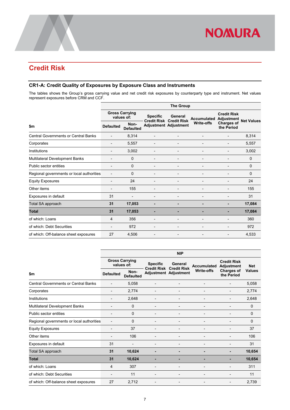

## <span id="page-9-0"></span>**Credit Risk**

#### <span id="page-9-1"></span>**CR1-A: Credit Quality of Exposures by Exposure Class and Instruments**

The tables shows the Group's gross carrying value and net credit risk exposures by counterparty type and instrument. Net values represent exposures before CRM and CCF.

| <b>The Group</b>                          |                          |                          |                          |                                                                |                                  |                   |  |
|-------------------------------------------|--------------------------|--------------------------|--------------------------|----------------------------------------------------------------|----------------------------------|-------------------|--|
| <b>Gross Carrying</b><br>values of:       |                          | <b>Specific</b>          | General                  |                                                                | <b>Credit Risk</b>               | <b>Net Values</b> |  |
| <b>Defaulted</b>                          | Non-<br><b>Defaulted</b> |                          |                          |                                                                | <b>Charges of</b><br>the Period  |                   |  |
|                                           | 8,314                    |                          |                          |                                                                |                                  | 8,314             |  |
|                                           | 5,557                    |                          |                          |                                                                |                                  | 5,557             |  |
|                                           | 3,002                    |                          |                          |                                                                |                                  | 3,002             |  |
| ٠                                         | $\mathbf 0$              | $\overline{\phantom{a}}$ | $\overline{\phantom{a}}$ | $\overline{a}$                                                 | -                                | $\Omega$          |  |
|                                           | $\mathbf 0$              | $\overline{\phantom{a}}$ | $\overline{a}$           |                                                                |                                  | $\Omega$          |  |
| Regional governments or local authorities | $\Omega$                 |                          |                          |                                                                |                                  | $\Omega$          |  |
|                                           | 24                       |                          |                          |                                                                |                                  | 24                |  |
|                                           | 155                      |                          |                          |                                                                |                                  | 155               |  |
| 31                                        |                          |                          |                          |                                                                |                                  | 31                |  |
| 31                                        | 17,053                   |                          |                          |                                                                |                                  | 17,084            |  |
| 31                                        | 17,053                   |                          |                          |                                                                |                                  | 17,084            |  |
| 4                                         | 356                      |                          |                          |                                                                |                                  | 360               |  |
|                                           | 972                      |                          | $\overline{a}$           |                                                                |                                  | 972               |  |
| 27                                        | 4,506                    |                          |                          |                                                                |                                  | 4,533             |  |
|                                           |                          |                          |                          | <b>Credit Risk Credit Risk</b><br><b>Adjustment Adjustment</b> | <b>Accumulated</b><br>Write-offs | Adjustment        |  |

|                                             | <b>NIP</b>                          |                          |                                       |                               |                   |                                         |               |  |
|---------------------------------------------|-------------------------------------|--------------------------|---------------------------------------|-------------------------------|-------------------|-----------------------------------------|---------------|--|
|                                             | <b>Gross Carrying</b><br>values of: |                          | <b>Specific</b><br><b>Credit Risk</b> | General<br><b>Credit Risk</b> | Accumulated       | <b>Credit Risk</b><br><b>Adjustment</b> | <b>Net</b>    |  |
| \$m                                         | <b>Defaulted</b>                    | Non-<br><b>Defaulted</b> |                                       | <b>Adjustment Adjustment</b>  | <b>Write-offs</b> | <b>Charges of</b><br>the Period         | <b>Values</b> |  |
| <b>Central Governments or Central Banks</b> | $\overline{\phantom{a}}$            | 5,058                    |                                       | ٠                             |                   |                                         | 5,058         |  |
| Corporates                                  | $\overline{a}$                      | 2,774                    |                                       | $\qquad \qquad \blacksquare$  |                   | $\overline{a}$                          | 2,774         |  |
| Institutions                                |                                     | 2,648                    |                                       |                               |                   |                                         | 2,648         |  |
| Multilateral Development Banks              |                                     | $\Omega$                 |                                       | $\overline{a}$                |                   |                                         | $\Omega$      |  |
| Public sector entities                      |                                     | 0                        |                                       | ٠                             |                   |                                         | $\Omega$      |  |
| Regional governments or local authorities   |                                     | 0                        |                                       |                               |                   |                                         | $\Omega$      |  |
| <b>Equity Exposures</b>                     |                                     | 37                       |                                       |                               |                   |                                         | 37            |  |
| Other items                                 |                                     | 106                      |                                       | $\overline{a}$                |                   |                                         | 106           |  |
| Exposures in default                        | 31                                  |                          |                                       |                               |                   |                                         | 31            |  |
| Total SA approach                           | 31                                  | 10,624                   |                                       | ٠                             |                   |                                         | 10,654        |  |
| <b>Total</b>                                | 31                                  | 10,624                   |                                       | ۰                             |                   |                                         | 10,654        |  |
| of which: Loans                             | 4                                   | 307                      |                                       | ٠                             |                   |                                         | 311           |  |
| of which: Debt Securities                   |                                     | 11                       |                                       | ٠                             |                   |                                         | 11            |  |
| of which: Off-balance sheet exposures       | 27                                  | 2,712                    |                                       |                               |                   |                                         | 2,739         |  |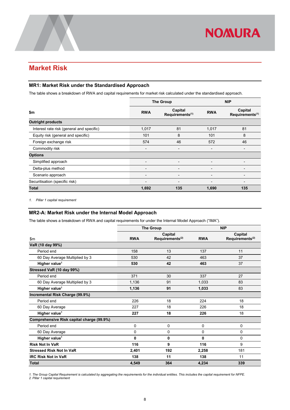## <span id="page-10-0"></span>**Market Risk**

#### <span id="page-10-1"></span>**MR1: Market Risk under the Standardised Approach**

The table shows a breakdown of RWA and capital requirements for market risk calculated under the standardised approach.

|                                           |            | <b>The Group</b>                       | <b>NIP</b> |                                        |
|-------------------------------------------|------------|----------------------------------------|------------|----------------------------------------|
| \$m                                       | <b>RWA</b> | Capital<br>Requirements <sup>(1)</sup> | <b>RWA</b> | Capital<br>Requirements <sup>(1)</sup> |
| <b>Outright products</b>                  |            |                                        |            |                                        |
| Interest rate risk (general and specific) | 1,017      | 81                                     | 1,017      | 81                                     |
| Equity risk (general and specific)        | 101        | 8                                      | 101        | 8                                      |
| Foreign exchange risk                     | 574        | 46                                     | 572        | 46                                     |
| Commodity risk                            | -          | -                                      |            |                                        |
| <b>Options</b>                            |            |                                        |            |                                        |
| Simplified approach                       | -          | -                                      |            | $\overline{\phantom{0}}$               |
| Delta-plus method                         |            |                                        |            |                                        |
| Scenario approach                         |            |                                        |            |                                        |
| Securitisation (specific risk)            | -          | $\overline{\phantom{0}}$               |            | $\overline{\phantom{0}}$               |
| <b>Total</b>                              | 1,692      | 135                                    | 1,690      | 135                                    |

<span id="page-10-2"></span>*1. Pillar 1 capital requirement*

#### **MR2-A: Market Risk under the Internal Model Approach**

The table shows a breakdown of RWA and capital requirements for under the Internal Model Approach ("IMA").

|                                           | <b>The Group</b> |                             |            | <b>NIP</b>                  |
|-------------------------------------------|------------------|-----------------------------|------------|-----------------------------|
|                                           |                  | Capital                     |            | Capital                     |
| \$m\$                                     | <b>RWA</b>       | Requirements <sup>(2)</sup> | <b>RWA</b> | Requirements <sup>(2)</sup> |
| VaR (10 day 99%)                          |                  |                             |            |                             |
| Period end                                | 158              | 13                          | 137        | 11                          |
| 60 Day Average Multiplied by 3            | 530              | 42                          | 463        | 37                          |
| Higher value <sup>1</sup>                 | 530              | 42                          | 463        | 37                          |
| Stressed VaR (10 day 99%)                 |                  |                             |            |                             |
| Period end                                | 371              | 30                          | 337        | 27                          |
| 60 Day Average Multiplied by 3            | 1.136            | 91                          | 1.033      | 83                          |
| Higher value <sup>1</sup>                 | 1,136            | 91                          | 1,033      | 83                          |
| Incremental Risk Charge (99.9%)           |                  |                             |            |                             |
| Period end                                | 226              | 18                          | 224        | 18                          |
| 60 Day Average                            | 227              | 18                          | 226        | 18                          |
| Higher value <sup>1</sup>                 | 227              | 18                          | 226        | 18                          |
| Comprehensive Risk capital charge (99.9%) |                  |                             |            |                             |
| Period end                                | 0                | 0                           | 0          | 0                           |
| 60 Day Average                            | $\mathbf 0$      | 0                           | 0          | 0                           |
| Higher value <sup>1</sup>                 | 0                | 0                           | $\bf{0}$   | $\mathbf 0$                 |
| <b>Risk Not In VaR</b>                    | 116              | 9                           | 116        | 9                           |
| <b>Stressed Risk Not In VaR</b>           | 2,401            | 192                         | 2,258      | 181                         |
| <b>IRC Risk Not in VaR</b>                | 138              | 11                          | 138        | 11                          |
| <b>Total</b>                              | 4,549            | 364                         | 4,234      | 339                         |

*1. The Group Capital Requirement is calculated by aggregating the requirements for the individual entities. This includes the capital requirement for NFPE. 2. Pillar 1 capital requirement*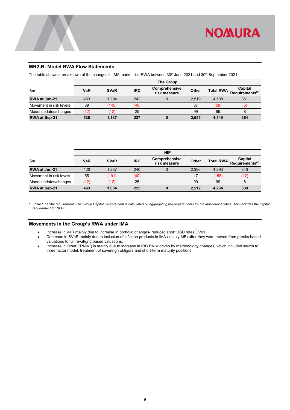

#### <span id="page-11-0"></span>**MR2-B: Model RWA Flow Statements**

The table shows a breakdown of the changes in IMA market risk RWA between 30<sup>th</sup> June 2021 and 30<sup>th</sup> September 2021

|                         | The Group |             |            |                               |       |                  |                                        |
|-------------------------|-----------|-------------|------------|-------------------------------|-------|------------------|----------------------------------------|
| $\mathsf{m}$            | VaR       | <b>SVaR</b> | <b>IRC</b> | Comprehensive<br>risk measure | Other | <b>Total RWA</b> | Capital<br>Requirements <sup>(1)</sup> |
| RWA at Jun-21           | 453       | 1.294       | 242        |                               | 2.519 | 4.508            | 361                                    |
| Movement in risk levels | 89        | (145)       | (40)       |                               | 37    | (58)             | (5)                                    |
| Model updates/changes   | (12)      | (12)        | 25         |                               | 99    | 99               | 8                                      |
| <b>RWA at Sep-21</b>    | 530       | 1,137       | 227        |                               | 2,655 | 4,549            | 364                                    |

|                         |            |             |            | <b>NIP</b>                    |       |                  |                                        |
|-------------------------|------------|-------------|------------|-------------------------------|-------|------------------|----------------------------------------|
| \$m                     | <b>VaR</b> | <b>SVaR</b> | <b>IRC</b> | Comprehensive<br>risk measure | Other | <b>Total RWA</b> | Capital<br>Requirements <sup>(1)</sup> |
| RWA at Jun-21           | 420        | 1.237       | 240        |                               | 2.396 | 4.293            | 343                                    |
| Movement in risk levels | 55         | (191)       | (40)       |                               | 17    | (158)            | (12)                                   |
| Model updates/changes   | (12)       | (12)        | 25         |                               | 99    | 99               | 8                                      |
| <b>RWA at Sep-21</b>    | 463        | 1.034       | 225        | 0                             | 2.512 | 4,234            | 339                                    |

1. Pillar 1 capital requirement. *The Group Capital Requirement is calculated by aggregating the requirements for the individual entities. This includes the capital requirement for NFPE*.

#### <span id="page-11-1"></span>**Movements in the Group's RWA under IMA**

- Increase in VaR mainly due to increase in portfolio changes- reduced short USD rates DV01
- Decrease in SVaR mainly due to inclusion of inflation products in IMA (in July ME) after they were moved from greeks based valuations to full reval/grid based valuations.
- Increase in Other ("RNIV") is mainly due to increase in IRC RNIV driven by methodology changes, which included switch to three factor model, treatment of sovereign obligors and short-term maturity positions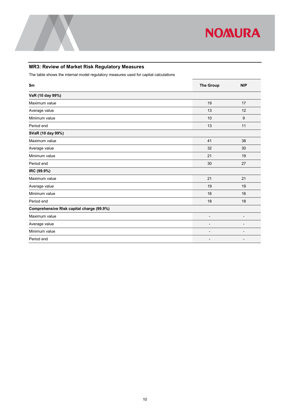

### <span id="page-12-0"></span>**MR3: Review of Market Risk Regulatory Measures**

The table shows the internal model regulatory measures used for capital calculations

| \$m                                       | <b>The Group</b>             | <b>NIP</b>               |
|-------------------------------------------|------------------------------|--------------------------|
| VaR (10 day 99%)                          |                              |                          |
| Maximum value                             | 19                           | 17                       |
| Average value                             | 13                           | 12                       |
| Minimum value                             | 10                           | 9                        |
| Period end                                | 13                           | 11                       |
| SVaR (10 day 99%)                         |                              |                          |
| Maximum value                             | 41                           | 38                       |
| Average value                             | 32                           | 30                       |
| Minimum value                             | 21                           | 19                       |
| Period end                                | 30                           | 27                       |
| IRC (99.9%)                               |                              |                          |
| Maximum value                             | 21                           | 21                       |
| Average value                             | 19                           | 19                       |
| Minimum value                             | 16                           | 16                       |
| Period end                                | 18                           | 18                       |
| Comprehensive Risk capital charge (99.9%) |                              |                          |
| Maximum value                             | $\overline{\phantom{a}}$     | $\overline{\phantom{0}}$ |
| Average value                             | $\qquad \qquad \blacksquare$ | $\overline{\phantom{0}}$ |
| Minimum value                             | $\overline{\phantom{0}}$     | $\overline{\phantom{0}}$ |
| Period end                                |                              |                          |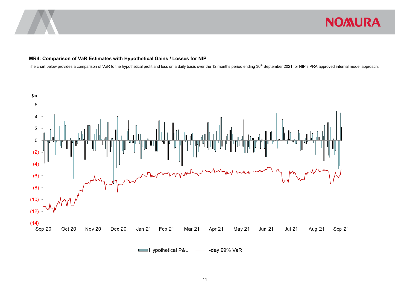

#### **MR4: Comparison of VaR Estimates with Hypothetical Gains / Losses for NIP**

The chart below provides a comparison of VaR to the hypothetical profit and loss on a daily basis over the 12 months period ending 30<sup>th</sup> September 2021 for NIP's PRA approved internal model approach.

<span id="page-13-0"></span>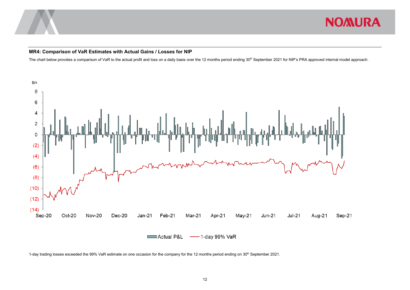

#### **MR4: Comparison of VaR Estimates with Actual Gains / Losses for NIP**

The chart below provides a comparison of VaR to the actual profit and loss on a daily basis over the 12 months period ending 30<sup>th</sup> September 2021 for NIP's PRA approved internal model approach.



<span id="page-14-0"></span>1-day trading losses exceeded the 99% VaR estimate on one occasion for the company for the 12 months period ending on 30<sup>th</sup> September 2021.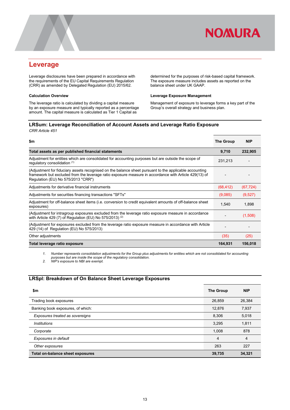

### <span id="page-15-0"></span>**Leverage**

Leverage disclosures have been prepared in accordance with the requirements of the EU Capital Requirements Regulation (CRR) as amended by Delegated Regulation (EU) 2015/62.

#### **Calculation Overview**

The leverage ratio is calculated by dividing a capital measure by an exposure measure and typically reported as a percentage amount. The capital measure is calculated as Tier 1 Capital as

determined for the purposes of risk-based capital framework. The exposure measure includes assets as reported on the balance sheet under UK GAAP.

#### **Leverage Exposure Management**

Management of exposure to leverage forms a key part of the Group's overall strategy and business plan.

#### <span id="page-15-1"></span>**LRSum: Leverage Reconciliation of Account Assets and Leverage Ratio Exposure** *CRR Article 451*

| \$m                                                                                                                                                                                                                                                   | <b>The Group</b> | <b>NIP</b> |
|-------------------------------------------------------------------------------------------------------------------------------------------------------------------------------------------------------------------------------------------------------|------------------|------------|
| Total assets as per published financial statements                                                                                                                                                                                                    | 9,710            | 232,905    |
| Adjustment for entities which are consolidated for accounting purposes but are outside the scope of<br>regulatory consolidation (1)                                                                                                                   | 231.213          |            |
| (Adjustment for fiduciary assets recognised on the balance sheet pursuant to the applicable accounting<br>framework but excluded from the leverage ratio exposure measure in accordance with Article 429(13) of<br>Regulation (EU) No 575/2013 "CRR") |                  |            |
| Adjustments for derivative financial instruments                                                                                                                                                                                                      | (68, 412)        | (67, 724)  |
| Adjustments for securities financing transactions "SFTs"                                                                                                                                                                                              | (9,085)          | (9,527)    |
| Adjustment for off-balance sheet items (i.e. conversion to credit equivalent amounts of off-balance sheet<br>exposures)                                                                                                                               | 1,540            | 1,898      |
| (Adjustment for intragroup exposures excluded from the leverage ratio exposure measure in accordance<br>with Article 429 (7) of Regulation (EU) No 575/2013) <sup>(2)</sup>                                                                           |                  | (1,508)    |
| (Adjustment for exposures excluded from the leverage ratio exposure measure in accordance with Article<br>429 (14) of Regulation (EU) No 575/2013)                                                                                                    |                  |            |
| Other adjustments                                                                                                                                                                                                                                     | (35)             | (25)       |
| Total leverage ratio exposure                                                                                                                                                                                                                         | 164,931          | 156,018    |

*1. Number represents consolidation adjustments for the Group plus adjustments for entities which are not consolidated for accounting purposes but are inside the scope of the regulatory consolidation.*

*2. NIP's exposure to NBI are exempt.*

#### <span id="page-15-2"></span>**LRSpl: Breakdown of On Balance Sheet Leverage Exposures**

| \$m                               | <b>The Group</b> | <b>NIP</b> |
|-----------------------------------|------------------|------------|
| Trading book exposures            | 26,859           | 26,384     |
| Banking book exposures, of which: | 12,876           | 7,937      |
| Exposures treated as sovereigns   | 8.306            | 5,018      |
| <b>Institutions</b>               | 3.295            | 1,811      |
| Corporate                         | 1,008            | 878        |
| Exposures in default              | $\overline{4}$   | 4          |
| Other exposures                   | 263              | 227        |
| Total on-balance sheet exposures  | 39,735           | 34,321     |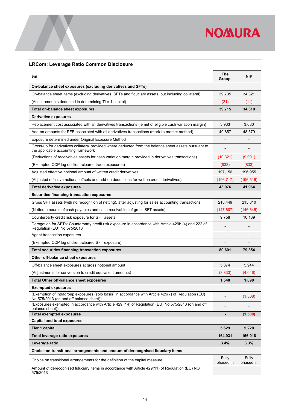

### <span id="page-16-0"></span>**LRCom: Leverage Ratio Common Disclosure**

| \$m                                                                                                                                             | The<br>Group       | <b>NIP</b>         |
|-------------------------------------------------------------------------------------------------------------------------------------------------|--------------------|--------------------|
| On-balance sheet exposures (excluding derivatives and SFTs)                                                                                     |                    |                    |
| On-balance sheet items (excluding derivatives, SFTs and fiduciary assets, but including collateral)                                             | 39,735             | 34.321             |
| (Asset amounts deducted in determining Tier 1 capital)                                                                                          | (21)               | (11)               |
| Total on-balance sheet exposures                                                                                                                | 39,715             | 34,310             |
| Derivative exposures                                                                                                                            |                    |                    |
| Replacement cost associated with all derivatives transactions (ie net of eligible cash variation margin)                                        | 3,933              | 3,680              |
| Add-on amounts for PFE associated with all derivatives transactions (mark-to-market method)                                                     | 49,857             | 48,579             |
| Exposure determined under Original Exposure Method                                                                                              |                    |                    |
| Gross-up for derivatives collateral provided where deducted from the balance sheet assets pursuant to<br>the applicable accounting framework    |                    |                    |
| (Deductions of receivables assets for cash variation margin provided in derivatives transactions)                                               | (10, 321)          | (9,901)            |
| (Exempted CCP leg of client-cleared trade exposures)                                                                                            | (833)              | (833)              |
| Adjusted effective notional amount of written credit derivatives                                                                                | 197,156            | 196,955            |
| (Adjusted effective notional offsets and add-on deductions for written credit derivatives)                                                      | (196, 717)         | (196, 516)         |
| <b>Total derivative exposures</b>                                                                                                               | 43,076             | 41,964             |
| Securities financing transaction exposures                                                                                                      |                    |                    |
| Gross SFT assets (with no recognition of netting), after adjusting for sales accounting transactions                                            | 218,449            | 215,810            |
| (Netted amounts of cash payables and cash receivables of gross SFT assets)                                                                      | (147, 607)         | (146,645)          |
| Counterparty credit risk exposure for SFT assets                                                                                                | 9,758              | 10,189             |
| Derogation for SFTs: Counterparty credit risk exposure in accordance with Article 429b (4) and 222 of<br>Regulation (EU) No 575/2013            |                    |                    |
| Agent transaction exposures                                                                                                                     |                    |                    |
| (Exempted CCP leg of client-cleared SFT exposure)                                                                                               |                    |                    |
| Total securities financing transaction exposures                                                                                                | 80,601             | 79,354             |
| Other off-balance sheet exposures                                                                                                               |                    |                    |
| Off-balance sheet exposures at gross notional amount                                                                                            | 5,374              | 5,944              |
| (Adjustments for conversion to credit equivalent amounts)                                                                                       | (3,833)            | (4,046)            |
| <b>Total Other off-balance sheet exposures</b>                                                                                                  | 1,540              | 1,898              |
| <b>Exempted exposures</b>                                                                                                                       |                    |                    |
| (Exemption of intragroup exposures (solo basis) in accordance with Article 429(7) of Regulation (EU)<br>No 575/2013 (on and off balance sheet)) |                    | (1,508)            |
| (Exposures exempted in accordance with Article 429 (14) of Regulation (EU) No 575/2013 (on and off<br>balance sheet))                           |                    |                    |
| <b>Total exempted exposures</b><br><b>Capital and total exposures</b>                                                                           |                    | (1, 508)           |
| Tier 1 capital                                                                                                                                  | 5,629              | 5,220              |
|                                                                                                                                                 |                    |                    |
| Total leverage ratio exposures                                                                                                                  | 164,931            | 156,018            |
| Leverage ratio                                                                                                                                  | 3.4%               | 3.3%               |
| Choice on transitional arrangements and amount of derecognised fiduciary items                                                                  |                    |                    |
| Choice on transitional arrangements for the definition of the capital measure                                                                   | Fully<br>phased in | Fully<br>phased in |
| Amount of derecognised fiduciary items in accordance with Article 429(11) of Regulation (EU) NO<br>575/2013                                     |                    |                    |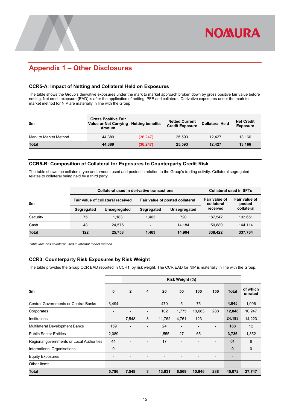## <span id="page-17-0"></span>**Appendix 1 – Other Disclosures**

#### <span id="page-17-1"></span>**CCR5-A: Impact of Netting and Collateral Held on Exposures**

The table shows the Group's derivative exposures under the mark to market approach broken down by gross positive fair value before netting. Net credit exposure (EAD) is after the application of netting, PFE and collateral. Derivative exposures under the mark to market method for NIP are materially in line with the Group.

| \$m                   | <b>Gross Positive Fair</b><br>Value or Net Carrying Netting benefits<br><b>Amount</b> |           | <b>Netted Current</b><br><b>Credit Exposure</b> | <b>Collateral Held</b> | <b>Net Credit</b><br><b>Exposure</b> |
|-----------------------|---------------------------------------------------------------------------------------|-----------|-------------------------------------------------|------------------------|--------------------------------------|
| Mark to Market Method | 44.389                                                                                | (36, 247) | 25.593                                          | 12.427                 | 13.166                               |
| Total                 | 44.389                                                                                | (36, 247) | 25,593                                          | 12.427                 | 13.166                               |

#### <span id="page-17-2"></span>**CCR5-B: Composition of Collateral for Exposures to Counterparty Credit Risk**

The table shows the collateral type and amount used and posted in relation to the Group's trading activity. Collateral segregated relates to collateral being held by a third party.

|               |                                                                      | <b>Collateral used in derivative transactions</b> | <b>Collateral used in SFTs</b> |              |                             |                         |
|---------------|----------------------------------------------------------------------|---------------------------------------------------|--------------------------------|--------------|-----------------------------|-------------------------|
| $\mathsf{sm}$ | Fair value of collateral received<br>Fair value of posted collateral |                                                   |                                |              | Fair value of<br>collateral | Fair value of<br>posted |
|               | Segregated                                                           | Unsegregated                                      | Segregated                     | Unsegregated | received                    | collateral              |
| Security      | 75                                                                   | 1.183                                             | 1.463                          | 720          | 187.542                     | 193.651                 |
| Cash          | 48                                                                   | 24.576                                            | $\overline{\phantom{0}}$       | 14.184       | 150.880                     | 144.114                 |
| <b>Total</b>  | 122                                                                  | 25,758                                            | 1.463                          | 14.904       | 338,422                     | 337,764                 |

<span id="page-17-3"></span>*Table includes collateral used in internal model method*

#### **CCR3: Counterparty Risk Exposures by Risk Weight**

The table provides the Group CCR EAD reported in CCR1, by risk weight. The CCR EAD for NIP is materially in line with the Group.

|                                             |                          |                          |                          |        | Risk Weight (%) |        |                          |                          |                     |
|---------------------------------------------|--------------------------|--------------------------|--------------------------|--------|-----------------|--------|--------------------------|--------------------------|---------------------|
| \$m                                         | 0                        | $\overline{2}$           | 4                        | 20     | 50              | 100    | 150                      | <b>Total</b>             | of which<br>unrated |
| <b>Central Governments or Central Banks</b> | 3,494                    |                          | $\overline{\phantom{0}}$ | 470    | 5               | 75     | $\overline{\phantom{a}}$ | 4,045                    | 1,906               |
| Corporates                                  | $\overline{\phantom{a}}$ |                          | $\overline{\phantom{a}}$ | 102    | 1,775           | 10,683 | 288                      | 12,848                   | 10,247              |
| Institutions                                | $\overline{\phantom{a}}$ | 7,548                    | 3                        | 11,762 | 4,761           | 123    | $\overline{\phantom{a}}$ | 24,198                   | 14,223              |
| <b>Multilateral Development Banks</b>       | 159                      | $\overline{\phantom{a}}$ | $\overline{a}$           | 24     | $\overline{a}$  |        | $\overline{\phantom{a}}$ | 183                      | 12                  |
| <b>Public Sector Entities</b>               | 2,089                    | $\overline{\phantom{a}}$ | -                        | 1,555  | 27              | 65     | $\overline{\phantom{a}}$ | 3,736                    | 1,352               |
| Regional governments or Local Authorities   | 44                       |                          |                          | 17     |                 |        |                          | 61                       | 6                   |
| International Organisations                 | $\mathbf{0}$             | -                        |                          |        |                 |        | $\overline{a}$           | 0                        | 0                   |
| <b>Equity Exposures</b>                     | $\overline{\phantom{a}}$ |                          |                          |        |                 |        |                          | $\overline{\phantom{0}}$ |                     |
| Other Items                                 | $\overline{\phantom{a}}$ |                          |                          |        |                 |        |                          | $\overline{\phantom{0}}$ |                     |
| <b>Total</b>                                | 5,786                    | 7,548                    | 3                        | 13,931 | 6,569           | 10,946 | 288                      | 45,072                   | 27,747              |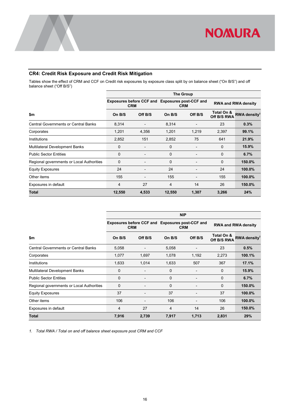

### <span id="page-18-0"></span>**CR4: Credit Risk Exposure and Credit Risk Mitigation**

Tables show the effect of CRM and CCF on Credit risk exposures by exposure class split by on balance sheet ("On B/S") and off balance sheet ("Off B/S")

|                                             | <b>The Group</b> |                                                               |                         |                          |                            |                          |  |  |  |  |  |  |
|---------------------------------------------|------------------|---------------------------------------------------------------|-------------------------|--------------------------|----------------------------|--------------------------|--|--|--|--|--|--|
|                                             |                  | Exposures before CCF and Exposures post-CCF and<br><b>CRM</b> |                         | <b>CRM</b>               | <b>RWA and RWA density</b> |                          |  |  |  |  |  |  |
| \$m                                         | On B/S           | Off B/S                                                       | On B/S                  | Off B/S                  | Total On &<br>Off B/S RWA  | RWA density <sup>1</sup> |  |  |  |  |  |  |
| <b>Central Governments or Central Banks</b> | 8,314            | $\qquad \qquad \blacksquare$                                  | 8,314                   |                          | 23                         | 0.3%                     |  |  |  |  |  |  |
| Corporates                                  | 1,201            | 4,356                                                         | 1,201                   | 1,219                    | 2,397                      | 99.1%                    |  |  |  |  |  |  |
| Institutions                                | 2,852            | 151                                                           | 2,852                   | 75                       | 641                        | 21.9%                    |  |  |  |  |  |  |
| <b>Multilateral Development Banks</b>       | 0                |                                                               | 0                       |                          | 0                          | 15.9%                    |  |  |  |  |  |  |
| <b>Public Sector Entities</b>               | 0                | $\qquad \qquad \blacksquare$                                  | $\mathbf 0$             | -                        | $\mathbf 0$                | 6.7%                     |  |  |  |  |  |  |
| Regional governments or Local Authorities   | $\mathbf 0$      | $\qquad \qquad \blacksquare$                                  | $\mathbf 0$             | $\overline{\phantom{0}}$ | $\mathbf 0$                | 150.0%                   |  |  |  |  |  |  |
| <b>Equity Exposures</b>                     | 24               |                                                               | 24                      |                          | 24                         | 100.0%                   |  |  |  |  |  |  |
| Other items                                 | 155              | $\qquad \qquad \blacksquare$                                  | 155                     | -                        | 155                        | 100.0%                   |  |  |  |  |  |  |
| Exposures in default                        | 4                | 27                                                            | $\overline{\mathbf{4}}$ | 14                       | 26                         | 150.0%                   |  |  |  |  |  |  |
| Total                                       | 12,550           | 4,533                                                         | 12,550                  | 1,307                    | 3,266                      | 24%                      |  |  |  |  |  |  |

|                                             |        |                                                               |        | <b>NIP</b> |                            |                          |  |
|---------------------------------------------|--------|---------------------------------------------------------------|--------|------------|----------------------------|--------------------------|--|
|                                             |        | Exposures before CCF and Exposures post-CCF and<br><b>CRM</b> |        | <b>CRM</b> | <b>RWA and RWA density</b> |                          |  |
| \$m                                         | On B/S | Off B/S                                                       | On B/S | Off B/S    | Total On &<br>Off B/S RWA  | RWA density <sup>1</sup> |  |
| <b>Central Governments or Central Banks</b> | 5,058  |                                                               | 5,058  |            | 23                         | 0.5%                     |  |
| Corporates                                  | 1,077  | 1,697                                                         | 1,078  | 1,192      | 2,273                      | 100.1%                   |  |
| Institutions                                | 1,633  | 1,014                                                         | 1,633  | 507        | 367                        | 17.1%                    |  |
| <b>Multilateral Development Banks</b>       | 0      | -                                                             | 0      | -          | 0                          | 15.9%                    |  |
| <b>Public Sector Entities</b>               | 0      | $\overline{\phantom{0}}$                                      | 0      | -          | $\mathbf 0$                | 6.7%                     |  |
| Regional governments or Local Authorities   | 0      | -                                                             | 0      | -          | $\mathbf 0$                | 150.0%                   |  |
| <b>Equity Exposures</b>                     | 37     | -                                                             | 37     |            | 37                         | 100.0%                   |  |
| Other items                                 | 106    |                                                               | 106    |            | 106                        | 100.0%                   |  |
| Exposures in default                        | 4      | 27                                                            | 4      | 14         | 26                         | 150.0%                   |  |
| Total                                       | 7,916  | 2,739                                                         | 7,917  | 1,713      | 2,831                      | 29%                      |  |

*1. Total RWA / Total on and off balance sheet exposure post CRM and CCF*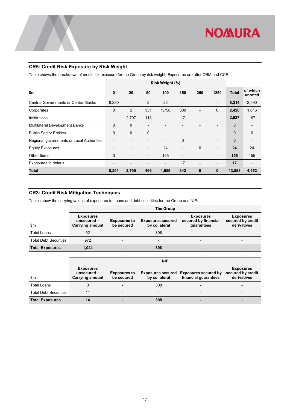

#### <span id="page-19-0"></span>**CR5: Credit Risk Exposure by Risk Weight**

Table shows the breakdown of credit risk exposure for the Group by risk weight. Exposures are after CRM and CCF.

|                                             |                          |                          |                          | Risk Weight (%)          |                |                |                          |              |                     |
|---------------------------------------------|--------------------------|--------------------------|--------------------------|--------------------------|----------------|----------------|--------------------------|--------------|---------------------|
| \$m                                         | 0                        | 20                       | 50                       | 100                      | 150            | 250            | 1250                     | <b>Total</b> | of which<br>unrated |
| <b>Central Governments or Central Banks</b> | 8,290                    | $\overline{\phantom{0}}$ | $\overline{2}$           | 22                       | ۰              |                | $\overline{\phantom{0}}$ | 8,314        | 2,590               |
| Corporates                                  | 0                        | 2                        | 351                      | 1,758                    | 309            |                | 0                        | 2,420        | 1,616               |
| Institutions                                | -                        | 2,797                    | 113                      | $\overline{\phantom{a}}$ | 17             |                | $\overline{a}$           | 2,927        | 167                 |
| Multilateral Development Banks              | 0                        | $\mathbf 0$              | $\overline{a}$           |                          |                |                | $\overline{a}$           | 0            |                     |
| <b>Public Sector Entities</b>               | 0                        | $\mathbf 0$              | $\mathbf 0$              | $\overline{\phantom{0}}$ | ۰              |                | $\overline{a}$           | 0            | $\mathbf 0$         |
| Regional governments or Local Authorities   | $\overline{\phantom{0}}$ | $\overline{\phantom{0}}$ | $\overline{\phantom{a}}$ | $\overline{\phantom{a}}$ | $\mathbf 0$    |                | $\overline{\phantom{0}}$ | 0            | $\overline{a}$      |
| <b>Equity Exposures</b>                     | $\overline{\phantom{a}}$ | -                        | $\overline{\phantom{a}}$ | 24                       | $\overline{a}$ | $\Omega$       | $\overline{\phantom{a}}$ | 24           | 24                  |
| Other Items                                 | $\mathbf 0$              | -                        | $\overline{\phantom{a}}$ | 155                      | $\overline{a}$ | $\overline{a}$ | $\overline{a}$           | 155          | 155                 |
| Exposures in default                        | $\overline{\phantom{a}}$ | $\overline{\phantom{0}}$ | $\overline{\phantom{a}}$ | $\overline{\phantom{a}}$ | 17             |                | $\overline{\phantom{0}}$ | 17           |                     |
| Total                                       | 8,291                    | 2,799                    | 466                      | 1,959                    | 343            | 0              | 0                        | 13,858       | 4,552               |

#### <span id="page-19-1"></span>**CR3: Credit Risk Mitigation Techniques**

Tables show the carrying values of exposures for loans and debt securities for the Group and NIP.

|                              | <b>The Group</b>                                          |                                   |                                           |                                                        |                                                      |  |  |  |  |  |  |  |
|------------------------------|-----------------------------------------------------------|-----------------------------------|-------------------------------------------|--------------------------------------------------------|------------------------------------------------------|--|--|--|--|--|--|--|
| $\mathsf{Sm}$                | <b>Exposures</b><br>unsecured -<br><b>Carrying amount</b> | <b>Exposures to</b><br>be secured | <b>Exposures secured</b><br>by collateral | <b>Exposures</b><br>secured by financial<br>guarantees | <b>Exposures</b><br>secured by credit<br>derivatives |  |  |  |  |  |  |  |
| <b>Total Loans</b>           | 52                                                        |                                   | 308                                       | $\overline{\phantom{0}}$                               | -                                                    |  |  |  |  |  |  |  |
| <b>Total Debt Securities</b> | 972                                                       |                                   |                                           | $\overline{\phantom{0}}$                               |                                                      |  |  |  |  |  |  |  |
| <b>Total Exposures</b>       | 1,024                                                     |                                   | 308                                       | -                                                      |                                                      |  |  |  |  |  |  |  |

|                              | <b>NIP</b>                                                |                                   |                                           |                                                     |                                                      |  |  |  |  |  |  |  |
|------------------------------|-----------------------------------------------------------|-----------------------------------|-------------------------------------------|-----------------------------------------------------|------------------------------------------------------|--|--|--|--|--|--|--|
| \$m\$                        | <b>Exposures</b><br>unsecured -<br><b>Carrying amount</b> | <b>Exposures to</b><br>be secured | <b>Exposures secured</b><br>by collateral | <b>Exposures secured by</b><br>financial guarantees | <b>Exposures</b><br>secured by credit<br>derivatives |  |  |  |  |  |  |  |
| <b>Total Loans</b>           |                                                           |                                   | 308                                       |                                                     |                                                      |  |  |  |  |  |  |  |
| <b>Total Debt Securities</b> |                                                           | $\overline{\phantom{0}}$          |                                           | $\overline{\phantom{0}}$                            |                                                      |  |  |  |  |  |  |  |
| <b>Total Exposures</b>       |                                                           |                                   | 308                                       | -                                                   |                                                      |  |  |  |  |  |  |  |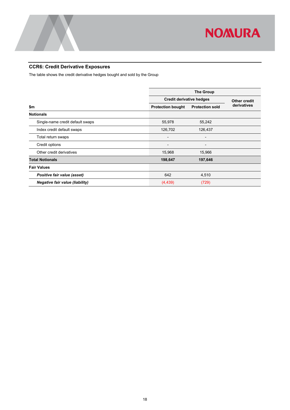

### <span id="page-20-0"></span>**CCR6: Credit Derivative Exposures**

The table shows the credit derivative hedges bought and sold by the Group

|                                        |                                 | <b>The Group</b>         |              |
|----------------------------------------|---------------------------------|--------------------------|--------------|
|                                        | <b>Credit derivative hedges</b> |                          | Other credit |
| \$m                                    | <b>Protection bought</b>        | <b>Protection sold</b>   | derivatives  |
| <b>Notionals</b>                       |                                 |                          |              |
| Single-name credit default swaps       | 55,978                          | 55,242                   |              |
| Index credit default swaps             | 126,702                         | 126,437                  |              |
| Total return swaps                     | $\overline{a}$                  | $\overline{\phantom{0}}$ |              |
| Credit options                         | $\overline{\phantom{a}}$        | -                        |              |
| Other credit derivatives               | 15,968                          | 15,966                   |              |
| <b>Total Notionals</b>                 | 198,647                         | 197,646                  |              |
| <b>Fair Values</b>                     |                                 |                          |              |
| Positive fair value (asset)            | 642                             | 4,510                    |              |
| <b>Negative fair value (liability)</b> | (4, 439)                        | (729)                    |              |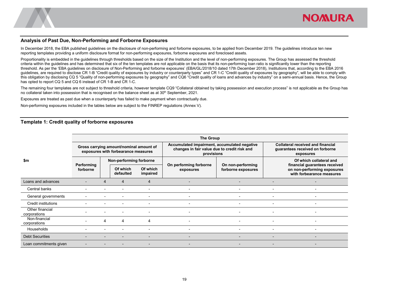

#### **Analysis of Past Due, Non-Performing and Forborne Exposures**

In December 2018, the EBA published guidelines on the disclosure of non-performing and forborne exposures, to be applied from December 2019. The guidelines introduce ten new reporting templates providing a uniform disclosure format for non-performing exposures, forborne exposures and foreclosed assets.

Proportionality is embedded in the quidelines through thresholds based on the size of the Institution and the level of non-performing exposures. The Group has assessed the threshold criteria within the guidelines and has determined that six of the ten templates are not applicable on the basis that its non-performing loan ratio is significantly lower than the reporting threshold. As per the 'EBA guidelines on disclosure of Non-Performing and forborne exposures' (EBA/GL/2018/10 dated 17th December 2018), Institutions that, according to the EBA 2016 guidelines, are required to disclose CR 1-B "Credit quality of exposures by industry or counterparty types" and CR 1-C "Credit quality of exposures by geography", will be able to comply with this obligation by disclosing CQ 5 "Quality of non-performing exposures by geography" and CQ6 "Credit quality of loans and advances by industry" on a semi-annual basis. Hence, the Group has opted to report CQ 5 and CQ 6 instead of CR 1-B and CR 1-C.

The remaining four templates are not subject to threshold criteria, however template CQ9 "Collateral obtained by taking possession and execution process" is not applicable as the Group has no collateral taken into possession that is recognised on the balance sheet as at 30<sup>th</sup> September, 2021.

Exposures are treated as past due when a counterparty has failed to make payment when contractually due.

Non-performing exposures included in the tables below are subject to the FINREP regulations (Annex V).

#### **Template 1: Credit quality of forborne exposures**

<span id="page-21-1"></span><span id="page-21-0"></span>

|                                 | <b>The Group</b>       |   |                                                                                |                          |                                                                                                            |                                         |                                                                                           |                          |  |  |  |  |  |
|---------------------------------|------------------------|---|--------------------------------------------------------------------------------|--------------------------|------------------------------------------------------------------------------------------------------------|-----------------------------------------|-------------------------------------------------------------------------------------------|--------------------------|--|--|--|--|--|
|                                 |                        |   | Gross carrying amount/nominal amount of<br>exposures with forbearance measures |                          | Accumulated impairment, accumulated negative<br>changes in fair value due to credit risk and<br>provisions |                                         | <b>Collateral received and financial</b><br>guarantees received on forborne<br>exposures  |                          |  |  |  |  |  |
| \$m                             |                        |   | Non-performing forborne                                                        |                          |                                                                                                            |                                         |                                                                                           | Of which collateral and  |  |  |  |  |  |
|                                 | Performing<br>forborne |   | Of which<br>defaulted                                                          | Of which<br>impaired     | On performing forborne<br>exposures                                                                        | On non-performing<br>forborne exposures | financial guarantees received<br>on non-performing exposures<br>with forbearance measures |                          |  |  |  |  |  |
| Loans and advances              |                        |   | 4                                                                              | 4                        |                                                                                                            |                                         |                                                                                           |                          |  |  |  |  |  |
| Central banks                   |                        |   |                                                                                | $\overline{\phantom{0}}$ | $\overline{\phantom{a}}$                                                                                   |                                         |                                                                                           | $\blacksquare$           |  |  |  |  |  |
| General governments             |                        |   |                                                                                | $\overline{\phantom{0}}$ | $\blacksquare$                                                                                             | $\overline{\phantom{a}}$                |                                                                                           | $\blacksquare$           |  |  |  |  |  |
| Credit institutions             |                        |   |                                                                                | $\overline{\phantom{0}}$ |                                                                                                            |                                         |                                                                                           |                          |  |  |  |  |  |
| Other financial<br>corporations |                        |   |                                                                                |                          |                                                                                                            |                                         |                                                                                           |                          |  |  |  |  |  |
| Non-financial<br>corporations   |                        | 4 | 4                                                                              | 4                        |                                                                                                            |                                         |                                                                                           |                          |  |  |  |  |  |
| Households                      |                        |   |                                                                                | $\overline{\phantom{0}}$ | $\blacksquare$                                                                                             |                                         |                                                                                           | $\blacksquare$           |  |  |  |  |  |
| <b>Debt Securities</b>          |                        |   |                                                                                |                          |                                                                                                            |                                         |                                                                                           |                          |  |  |  |  |  |
| Loan commitments given          |                        |   |                                                                                | $\overline{\phantom{0}}$ | $\overline{\phantom{a}}$                                                                                   | $\overline{\phantom{a}}$                | $\overline{\phantom{0}}$                                                                  | $\overline{\phantom{0}}$ |  |  |  |  |  |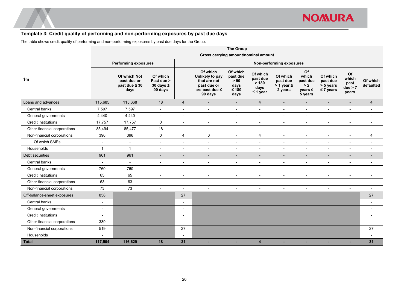#### **Template 3: Credit quality of performing and non-performing exposures by past due days**

The table shows credit quality of performing and non-performing exposures by past due days for the Group.

<span id="page-22-0"></span>

|                              | <b>The Group</b>         |                                                           |                                                     |                          |                                                                                         |                                                         |                                                        |                                                      |                                                           |                                                     |                                         |                          |
|------------------------------|--------------------------|-----------------------------------------------------------|-----------------------------------------------------|--------------------------|-----------------------------------------------------------------------------------------|---------------------------------------------------------|--------------------------------------------------------|------------------------------------------------------|-----------------------------------------------------------|-----------------------------------------------------|-----------------------------------------|--------------------------|
|                              |                          |                                                           |                                                     |                          | Gross carrying amount/nominal amount                                                    |                                                         |                                                        |                                                      |                                                           |                                                     |                                         |                          |
|                              |                          | <b>Performing exposures</b>                               |                                                     |                          |                                                                                         |                                                         |                                                        | Non-performing exposures                             |                                                           |                                                     |                                         |                          |
| \$m                          |                          | Of which Not<br>past due or<br>past due $\leq 30$<br>days | Of which<br>Past due ><br>30 days $\leq$<br>90 days |                          | Of which<br>Unlikely to pay<br>that are not<br>past due or<br>are past due ≤<br>90 days | Of which<br>past due<br>> 90<br>days<br>$≤ 180$<br>days | Of which<br>past due<br>> 180<br>days<br>$\leq$ 1 year | Of which<br>past due<br>$> 1$ year $\leq$<br>2 years | Of<br>which<br>past due<br>> 2<br>$years \leq$<br>5 years | Of which<br>past due<br>> 5 years<br>$\leq 7$ years | Of<br>which<br>past<br>due > 7<br>years | Of which<br>defaulted    |
| Loans and advances           | 115,685                  | 115,668                                                   | 18                                                  | $\overline{4}$           | $\overline{\phantom{0}}$                                                                | $\overline{\phantom{a}}$                                | $\overline{4}$                                         | $\overline{\phantom{a}}$                             |                                                           | $\overline{\phantom{a}}$                            |                                         | $\overline{4}$           |
| Central banks                | 7,597                    | 7,597                                                     | $\overline{\phantom{a}}$                            | $\blacksquare$           | $\blacksquare$                                                                          | $\overline{\phantom{a}}$                                | $\blacksquare$                                         | $\blacksquare$                                       | $\overline{\phantom{a}}$                                  | $\overline{\phantom{a}}$                            | $\overline{\phantom{a}}$                | $\blacksquare$           |
| General governments          | 4,440                    | 4,440                                                     | $\blacksquare$                                      | $\blacksquare$           | $\overline{a}$                                                                          | $\sim$                                                  | $\blacksquare$                                         | $\blacksquare$                                       | $\overline{\phantom{a}}$                                  | $\sim$                                              | $\overline{\phantom{a}}$                | $\blacksquare$           |
| <b>Credit institutions</b>   | 17,757                   | 17,757                                                    | $\mathbf 0$                                         | $\blacksquare$           | $\sim$                                                                                  | $\overline{\phantom{a}}$                                | $\blacksquare$                                         | $\blacksquare$                                       | $\overline{\phantom{a}}$                                  | $\overline{\phantom{a}}$                            | $\overline{\phantom{a}}$                | $\overline{a}$           |
| Other financial corporations | 85,494                   | 85,477                                                    | 18                                                  | $\overline{\phantom{a}}$ | $\overline{\phantom{a}}$                                                                | $\overline{\phantom{a}}$                                | $\overline{\phantom{a}}$                               | $\overline{\phantom{a}}$                             | $\overline{\phantom{a}}$                                  | $\overline{\phantom{a}}$                            | $\overline{\phantom{a}}$                | $\overline{\phantom{a}}$ |
| Non-financial corporations   | 396                      | 396                                                       | 0                                                   | $\overline{4}$           | $\mathbf 0$                                                                             | $\blacksquare$                                          | $\overline{4}$                                         | $\overline{a}$                                       | $\overline{\phantom{a}}$                                  | $\blacksquare$                                      | $\overline{\phantom{a}}$                | 4                        |
| Of which SMEs                | $\sim$                   | $\overline{\phantom{a}}$                                  | $\overline{\phantom{a}}$                            | $\overline{\phantom{a}}$ | $\blacksquare$                                                                          | $\overline{\phantom{a}}$                                | $\overline{\phantom{a}}$                               | $\overline{\phantom{a}}$                             | $\overline{\phantom{a}}$                                  | $\overline{\phantom{a}}$                            | $\overline{\phantom{a}}$                | $\overline{a}$           |
| Households                   | $\mathbf{1}$             | $\overline{1}$                                            | $\blacksquare$                                      | $\overline{\phantom{0}}$ | $\overline{\phantom{a}}$                                                                | $\blacksquare$                                          | $\overline{\phantom{a}}$                               | $\blacksquare$                                       | $\overline{\phantom{a}}$                                  | $\blacksquare$                                      | $\overline{\phantom{a}}$                | $\overline{\phantom{a}}$ |
| Debt securities              | 961                      | 961                                                       | $\overline{\phantom{a}}$                            | $\overline{\phantom{0}}$ | $\overline{\phantom{a}}$                                                                | $\overline{\phantom{0}}$                                | $\overline{\phantom{a}}$                               | $\overline{\phantom{a}}$                             | $\overline{\phantom{a}}$                                  | $\overline{\phantom{a}}$                            | $\overline{\phantom{a}}$                | $\blacksquare$           |
| Central banks                | $\sim$                   | $\sim$                                                    | $\blacksquare$                                      | $\overline{a}$           | $\overline{a}$                                                                          | $\overline{\phantom{a}}$                                | $\overline{\phantom{a}}$                               | $\blacksquare$                                       | $\overline{a}$                                            | $\blacksquare$                                      | $\overline{\phantom{a}}$                | $\blacksquare$           |
| General governments          | 760                      | 760                                                       | $\overline{\phantom{a}}$                            | $\overline{\phantom{a}}$ | $\overline{\phantom{a}}$                                                                | $\overline{\phantom{a}}$                                | $\overline{\phantom{a}}$                               | -                                                    | $\overline{\phantom{a}}$                                  | $\overline{\phantom{a}}$                            | $\overline{\phantom{a}}$                | $\overline{a}$           |
| <b>Credit institutions</b>   | 65                       | 65                                                        | $\blacksquare$                                      | $\blacksquare$           | $\overline{a}$                                                                          | $\overline{\phantom{a}}$                                | $\blacksquare$                                         | $\blacksquare$                                       | $\overline{\phantom{a}}$                                  | $\blacksquare$                                      | $\overline{\phantom{a}}$                | $\blacksquare$           |
| Other financial corporations | 63                       | 63                                                        | $\blacksquare$                                      | $\blacksquare$           | $\overline{a}$                                                                          | $\overline{\phantom{a}}$                                | $\blacksquare$                                         | $\blacksquare$                                       | $\overline{\phantom{a}}$                                  | $\overline{\phantom{a}}$                            | $\overline{\phantom{a}}$                | $\blacksquare$           |
| Non-financial corporations   | 73                       | 73                                                        | $\overline{\phantom{a}}$                            | $\overline{\phantom{a}}$ | $\overline{\phantom{a}}$                                                                | $\qquad \qquad \blacksquare$                            | $\overline{\phantom{a}}$                               | $\overline{\phantom{a}}$                             | $\overline{\phantom{a}}$                                  | $\overline{\phantom{a}}$                            | $\overline{\phantom{a}}$                | $\overline{\phantom{a}}$ |
| Off-balance-sheet exposures  | 858                      |                                                           |                                                     | 27                       |                                                                                         |                                                         |                                                        |                                                      |                                                           |                                                     |                                         | 27                       |
| Central banks                | $\blacksquare$           |                                                           |                                                     | $\overline{\phantom{0}}$ |                                                                                         |                                                         |                                                        |                                                      |                                                           |                                                     |                                         | $\overline{\phantom{a}}$ |
| General governments          | $\overline{\phantom{a}}$ |                                                           |                                                     |                          |                                                                                         |                                                         |                                                        |                                                      |                                                           |                                                     |                                         |                          |
| Credit institutions          | $\blacksquare$           |                                                           |                                                     | $\overline{\phantom{a}}$ |                                                                                         |                                                         |                                                        |                                                      |                                                           |                                                     |                                         | $\blacksquare$           |
| Other financial corporations | 339                      |                                                           |                                                     | $\overline{\phantom{0}}$ |                                                                                         |                                                         |                                                        |                                                      |                                                           |                                                     |                                         |                          |
| Non-financial corporations   | 519                      |                                                           |                                                     | 27                       |                                                                                         |                                                         |                                                        |                                                      |                                                           |                                                     |                                         | 27                       |
| Households                   |                          |                                                           |                                                     | $\overline{a}$           |                                                                                         |                                                         |                                                        |                                                      |                                                           |                                                     |                                         |                          |
| <b>Total</b>                 | 117,504                  | 116,629                                                   | 18                                                  | 31                       |                                                                                         | н                                                       | 4                                                      | ۰                                                    |                                                           |                                                     |                                         | 31                       |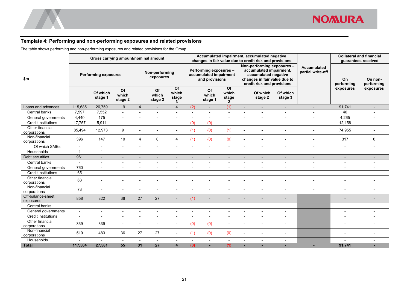

#### **Template 4: Performing and non-performing exposures and related provisions**

The table shows performing and non-performing exposures and related provisions for the Group.

<span id="page-23-0"></span>

|                                 | Gross carrying amount/nominal amount |                          |                          |                             |                          |                           |                                                                    |                          |                                                   |                                                                                                                                             | Accumulated impairment, accumulated negative<br>changes in fair value due to credit risk and provisions |                                         |                          | <b>Collateral and financial</b><br>quarantees received |                          |
|---------------------------------|--------------------------------------|--------------------------|--------------------------|-----------------------------|--------------------------|---------------------------|--------------------------------------------------------------------|--------------------------|---------------------------------------------------|---------------------------------------------------------------------------------------------------------------------------------------------|---------------------------------------------------------------------------------------------------------|-----------------------------------------|--------------------------|--------------------------------------------------------|--------------------------|
| \$m                             | <b>Performing exposures</b>          |                          |                          | Non-performing<br>exposures |                          |                           | Performing exposures -<br>accumulated impairment<br>and provisions |                          |                                                   | Non-performing exposures -<br>accumulated impairment,<br>accumulated negative<br>changes in fair value due to<br>credit risk and provisions |                                                                                                         | <b>Accumulated</b><br>partial write-off | On<br>performing         | On non-<br>performing                                  |                          |
|                                 |                                      | Of which<br>stage 1      | Of<br>which<br>stage 2   |                             | Of<br>which<br>stage 2   | Of<br>which<br>stage<br>3 |                                                                    | Of<br>which<br>stage 1   | $\overline{of}$<br>which<br>stage<br>$\mathbf{2}$ |                                                                                                                                             | Of which<br>stage 2                                                                                     | Of which<br>stage 3                     |                          | exposures                                              | exposures                |
| Loans and advances              | 115,685                              | 26,759                   | 19                       | $\overline{4}$              | $\blacksquare$           | $\overline{4}$            | (2)                                                                | $\overline{\phantom{a}}$ | (1)                                               | $\sim$                                                                                                                                      | $\overline{\phantom{a}}$                                                                                | $\blacksquare$                          | $\blacksquare$           | 91,741                                                 | $\overline{\phantom{0}}$ |
| Central banks                   | 7,597                                | 7,552                    | $\blacksquare$           | $\blacksquare$              | $\overline{a}$           |                           | $\overline{a}$                                                     | $\blacksquare$           | $\mathbf{r}$                                      |                                                                                                                                             | $\overline{a}$                                                                                          | $\overline{a}$                          | $\overline{a}$           | 46                                                     | $\overline{a}$           |
| General governments             | 4,440                                | 175                      | $\blacksquare$           | $\overline{\phantom{a}}$    | $\overline{\phantom{0}}$ |                           |                                                                    |                          | $\overline{\phantom{a}}$                          |                                                                                                                                             | $\overline{\phantom{0}}$                                                                                |                                         | $\overline{\phantom{a}}$ | 4,265                                                  |                          |
| Credit institutions             | 17,757                               | 5,911                    | $\blacksquare$           | $\overline{a}$              | $\overline{\phantom{0}}$ |                           | (0)                                                                | (0)                      | $\blacksquare$                                    |                                                                                                                                             |                                                                                                         |                                         | $\blacksquare$           | 12,158                                                 |                          |
| Other financial<br>corporations | 85,494                               | 12,973                   | 9                        | $\overline{\phantom{a}}$    | $\blacksquare$           | $\blacksquare$            | (1)                                                                | (0)                      | (1)                                               |                                                                                                                                             |                                                                                                         | $\overline{a}$                          | $\blacksquare$           | 74,955                                                 | $\blacksquare$           |
| Non-financial<br>corporations   | 396                                  | 147                      | 10                       | $\overline{4}$              | $\mathbf 0$              | $\overline{4}$            | (1)                                                                | (0)                      | (0)                                               |                                                                                                                                             |                                                                                                         |                                         |                          | 317                                                    | $\mathbf 0$              |
| Of which SMEs                   | $\blacksquare$                       | $\sim$                   | $\blacksquare$           | $\blacksquare$              | $\blacksquare$           | $\blacksquare$            | $\overline{\phantom{a}}$                                           | $\blacksquare$           | $\blacksquare$                                    | $\sim$                                                                                                                                      | $\overline{\phantom{a}}$                                                                                | $\overline{\phantom{a}}$                | $\overline{a}$           | $\sim$                                                 | $\overline{\phantom{a}}$ |
| Households                      | $\overline{1}$                       | $\mathbf{1}$             | $\blacksquare$           | $\blacksquare$              | $\blacksquare$           |                           |                                                                    | $\blacksquare$           | $\blacksquare$                                    |                                                                                                                                             | $\blacksquare$                                                                                          | ٠                                       | $\blacksquare$           | $\overline{\phantom{a}}$                               | $\overline{\phantom{0}}$ |
| Debt securities                 | 961                                  | $\overline{\phantom{a}}$ | $\overline{\phantom{a}}$ | $\overline{\phantom{a}}$    | $\overline{\phantom{a}}$ |                           |                                                                    | $\overline{\phantom{a}}$ | $\overline{\phantom{a}}$                          |                                                                                                                                             |                                                                                                         | $\overline{\phantom{a}}$                | $\overline{\phantom{0}}$ | $\overline{\phantom{a}}$                               |                          |
| Central banks                   | $\overline{\phantom{a}}$             | $\overline{\phantom{a}}$ | $\blacksquare$           | $\overline{\phantom{a}}$    | $\overline{\phantom{a}}$ | $\overline{\phantom{a}}$  | $\overline{\phantom{a}}$                                           | $\sim$                   | $\sim$                                            | $\overline{\phantom{a}}$                                                                                                                    | $\blacksquare$                                                                                          | $\blacksquare$                          | $\blacksquare$           | $\overline{\phantom{a}}$                               | $\overline{\phantom{a}}$ |
| General governments             | 760                                  | $\overline{\phantom{a}}$ | $\blacksquare$           | $\blacksquare$              | $\blacksquare$           | $\overline{\phantom{a}}$  | $\overline{\phantom{a}}$                                           | $\overline{\phantom{a}}$ | $\sim$                                            | $\overline{\phantom{a}}$                                                                                                                    | $\blacksquare$                                                                                          | $\blacksquare$                          | $\blacksquare$           | $\overline{\phantom{a}}$                               | $\blacksquare$           |
| Credit institutions             | 65                                   | $\overline{\phantom{a}}$ | $\overline{\phantom{a}}$ | $\overline{\phantom{a}}$    | $\overline{a}$           | $\overline{\phantom{a}}$  | $\blacksquare$                                                     | $\blacksquare$           | $\overline{\phantom{a}}$                          | $\overline{\phantom{a}}$                                                                                                                    | $\overline{\phantom{a}}$                                                                                | $\overline{a}$                          | $\overline{a}$           | $\overline{\phantom{a}}$                               | $\overline{a}$           |
| Other financial<br>corporations | 63                                   | $\blacksquare$           | $\overline{\phantom{0}}$ | $\blacksquare$              |                          |                           |                                                                    |                          |                                                   |                                                                                                                                             |                                                                                                         |                                         | $\overline{\phantom{a}}$ |                                                        | $\blacksquare$           |
| Non-financial<br>corporations   | 73                                   | $\overline{\phantom{a}}$ |                          |                             |                          |                           |                                                                    |                          |                                                   |                                                                                                                                             |                                                                                                         |                                         |                          |                                                        |                          |
| Off-balance-sheet<br>exposures  | 858                                  | 822                      | 36                       | 27                          | 27                       |                           | (1)                                                                |                          |                                                   |                                                                                                                                             |                                                                                                         |                                         |                          |                                                        |                          |
| Central banks                   | $\blacksquare$                       | $\sim$                   | $\blacksquare$           | $\blacksquare$              | $\blacksquare$           | $\overline{\phantom{a}}$  | $\overline{\phantom{a}}$                                           | $\sim$                   | $\blacksquare$                                    | $\overline{\phantom{a}}$                                                                                                                    | $\mathbf{r}$                                                                                            | $\overline{\phantom{a}}$                |                          | $\overline{\phantom{a}}$                               | $\blacksquare$           |
| General governments             | $\blacksquare$                       | $\sim$                   | $\blacksquare$           | $\blacksquare$              | $\blacksquare$           | $\overline{\phantom{a}}$  | $\blacksquare$                                                     | $\blacksquare$           | $\blacksquare$                                    | $\overline{\phantom{a}}$                                                                                                                    | $\overline{\phantom{a}}$                                                                                | $\overline{a}$                          |                          |                                                        | $\overline{\phantom{a}}$ |
| <b>Credit institutions</b>      | $\sim$                               | $\blacksquare$           | $\overline{a}$           | $\blacksquare$              | $\blacksquare$           | $\overline{a}$            | $\overline{\phantom{a}}$                                           | $\sim$                   | $\blacksquare$                                    | $\overline{\phantom{a}}$                                                                                                                    | $\mathbf{r}$                                                                                            | $\overline{a}$                          |                          |                                                        | $\overline{\phantom{a}}$ |
| Other financial<br>corporations | 339                                  | 339                      | ۰                        | $\blacksquare$              | $\blacksquare$           | $\blacksquare$            | (0)                                                                | (0)                      | $\blacksquare$                                    |                                                                                                                                             | $\blacksquare$                                                                                          | $\overline{\phantom{a}}$                |                          | $\overline{\phantom{a}}$                               | $\overline{\phantom{a}}$ |
| Non-financial<br>corporations   | 519                                  | 483                      | 36                       | 27                          | 27                       |                           | (1)                                                                | (0)                      | (0)                                               |                                                                                                                                             |                                                                                                         | $\overline{\phantom{a}}$                |                          |                                                        | $\overline{a}$           |
| Households                      |                                      | $\blacksquare$           | $\blacksquare$           | $\blacksquare$              | $\blacksquare$           |                           |                                                                    | $\overline{\phantom{a}}$ | $\overline{\phantom{a}}$                          |                                                                                                                                             | $\overline{a}$                                                                                          | $\overline{a}$                          |                          |                                                        |                          |
| <b>Total</b>                    | 117,504                              | 27,581                   | 55                       | 31                          | 27                       | $\overline{4}$            | (3)                                                                | ц.                       | (1)                                               |                                                                                                                                             |                                                                                                         |                                         |                          | 91,741                                                 |                          |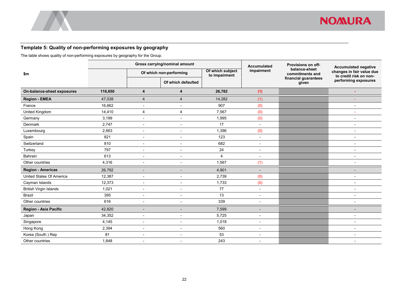#### **Template 5: Quality of non-performing exposures by geography**

The table shows quality of non-performing exposures by geography for the Group.

<span id="page-24-0"></span>

|                                 |         |                          | Gross carrying/nominal amount |                                   | <b>Accumulated</b>       | Provisions on off-               | <b>Accumulated negative</b>                         |  |
|---------------------------------|---------|--------------------------|-------------------------------|-----------------------------------|--------------------------|----------------------------------|-----------------------------------------------------|--|
| \$m                             |         |                          | Of which non-performing       | Of which subject<br>to impairment | impairment               | balance-sheet<br>commitments and | changes in fair value due<br>to credit risk on non- |  |
|                                 |         |                          | Of which defaulted            |                                   |                          | financial guarantees<br>given    | performing exposures                                |  |
| On-balance-sheet exposures      | 116,650 | 4                        | 4                             | 26,782                            | (1)                      |                                  |                                                     |  |
| <b>Region - EMEA</b>            | 47,038  | $\overline{4}$           | $\overline{4}$                | 14,282                            | (1)                      |                                  |                                                     |  |
| France                          | 16,662  | $\overline{a}$           | $\blacksquare$                | 907                               | (0)                      |                                  |                                                     |  |
| United Kingdom                  | 14,410  | $\overline{4}$           | $\overline{4}$                | 7,567                             | (0)                      |                                  |                                                     |  |
| Germany                         | 3,199   | $\blacksquare$           | $\blacksquare$                | 1,995                             | (0)                      |                                  |                                                     |  |
| Denmark                         | 2,747   | $\blacksquare$           | $\blacksquare$                | 17                                | L,                       |                                  |                                                     |  |
| Luxembourg                      | 2,663   | $\blacksquare$           | $\blacksquare$                | 1,396                             | (0)                      |                                  |                                                     |  |
| Spain                           | 821     | $\blacksquare$           | $\overline{\phantom{a}}$      | 123                               | $\overline{a}$           |                                  |                                                     |  |
| Switzerland                     | 810     | $\overline{\phantom{a}}$ | $\blacksquare$                | 682                               | $\overline{\phantom{0}}$ |                                  |                                                     |  |
| Turkey                          | 797     | $\overline{\phantom{a}}$ | $\blacksquare$                | 24                                | L,                       |                                  |                                                     |  |
| Bahrain                         | 613     | $\blacksquare$           | $\blacksquare$                | 4                                 | $\overline{\phantom{0}}$ |                                  |                                                     |  |
| Other countries                 | 4,316   | $\overline{\phantom{a}}$ | $\overline{\phantom{a}}$      | 1,567                             | (1)                      |                                  |                                                     |  |
| <b>Region - Americas</b>        | 26,792  | $\overline{\phantom{0}}$ | $\blacksquare$                | 4,901                             |                          |                                  |                                                     |  |
| <b>United States Of America</b> | 12,387  | $\blacksquare$           | $\blacksquare$                | 2,739                             | (0)                      |                                  |                                                     |  |
| Cayman Islands                  | 12,373  | $\blacksquare$           | $\blacksquare$                | 1,733                             | (0)                      |                                  |                                                     |  |
| <b>British Virgin Islands</b>   | 1,021   | $\blacksquare$           | $\blacksquare$                | 77                                | $\overline{a}$           |                                  |                                                     |  |
| <b>Brazil</b>                   | 395     | $\overline{\phantom{a}}$ | $\overline{\phantom{a}}$      | 13                                | $\overline{a}$           |                                  |                                                     |  |
| Other countries                 | 616     | $\overline{\phantom{a}}$ | $\overline{\phantom{a}}$      | 339                               | $\overline{a}$           |                                  |                                                     |  |
| Region - Asia Pacific           | 42,820  | $\overline{a}$           | $\overline{a}$                | 7,599                             |                          |                                  |                                                     |  |
| Japan                           | 34,352  | $\overline{\phantom{a}}$ | ٠                             | 5,725                             |                          |                                  |                                                     |  |
| Singapore                       | 4,145   | $\overline{\phantom{a}}$ | $\blacksquare$                | 1,018                             |                          |                                  |                                                     |  |
| Hong Kong                       | 2,394   | $\overline{\phantom{a}}$ | $\overline{\phantom{a}}$      | 560                               | $\overline{a}$           |                                  |                                                     |  |
| Korea (South) Rep               | 81      | $\overline{\phantom{a}}$ | $\blacksquare$                | 53                                | $\overline{\phantom{0}}$ |                                  |                                                     |  |
| Other countries                 | 1,848   | $\overline{\phantom{0}}$ | $\overline{\phantom{a}}$      | 243                               | $\overline{\phantom{a}}$ |                                  |                                                     |  |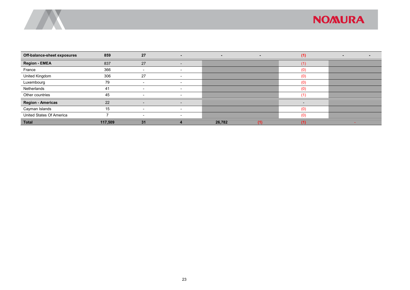

| Off-balance-sheet exposures | 859     | 27                       | $\sim$                   | $\overline{\phantom{a}}$ | $\overline{\phantom{a}}$ | (1)                      |  |
|-----------------------------|---------|--------------------------|--------------------------|--------------------------|--------------------------|--------------------------|--|
| <b>Region - EMEA</b>        | 837     | 27                       | $\overline{\phantom{0}}$ |                          |                          | (1                       |  |
| France                      | 366     |                          | $\overline{\phantom{0}}$ |                          |                          | (0)                      |  |
| United Kingdom              | 306     | 27                       |                          |                          |                          | (0)                      |  |
| Luxembourg                  | 79      |                          |                          |                          |                          | (0)                      |  |
| Netherlands                 | 41      |                          | $\overline{\phantom{0}}$ |                          |                          | (0)                      |  |
| Other countries             | 45      |                          | $\overline{\phantom{0}}$ |                          |                          | (1)                      |  |
| <b>Region - Americas</b>    | 22      | $\overline{\phantom{0}}$ | $\overline{\phantom{a}}$ |                          |                          | $\overline{\phantom{0}}$ |  |
| Cayman Islands              | 15      |                          |                          |                          |                          | (0)                      |  |
| United States Of America    |         |                          |                          |                          |                          | (0)                      |  |
| <b>Total</b>                | 117,509 | 31                       |                          | 26,782                   | 41                       |                          |  |